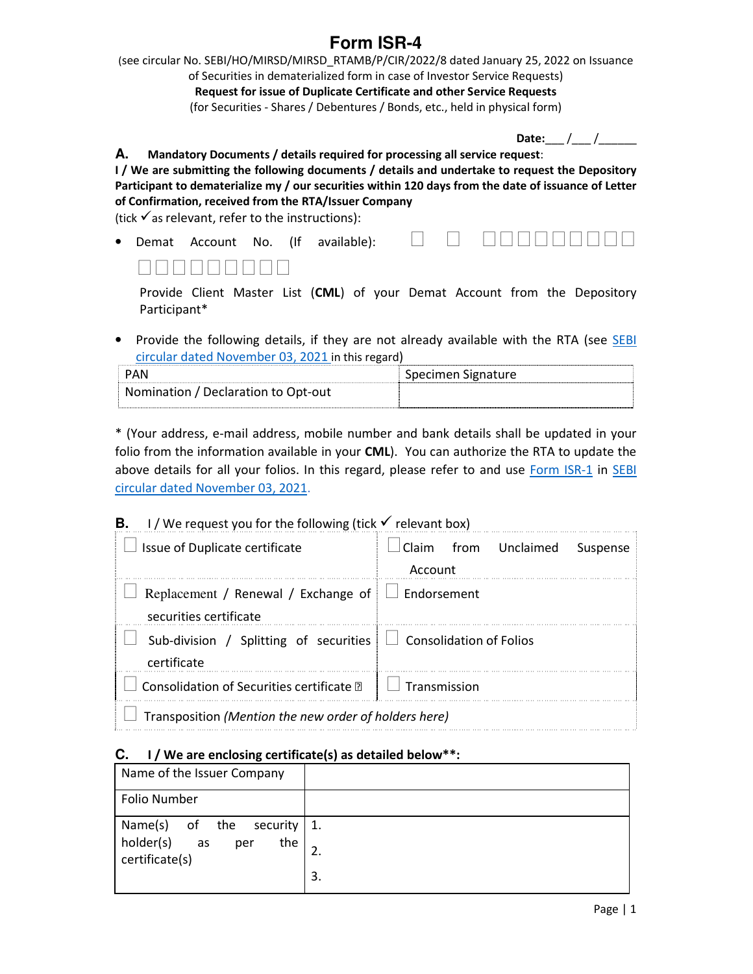## **Form ISR-4**

(see circular No. SEBI/HO/MIRSD/MIRSD\_RTAMB/P/CIR/2022/8 dated January 25, 2022 on Issuance of Securities in dematerialized form in case of Investor Service Requests) **Request for issue of Duplicate Certificate and other Service Requests**  (for Securities - Shares / Debentures / Bonds, etc., held in physical form)

| <b>Date:</b> |  |  |  |
|--------------|--|--|--|
|--------------|--|--|--|

**A. Mandatory Documents / details required for processing all service request**:

**I / We are submitting the following documents / details and undertake to request the Depository Participant to dematerialize my / our securities within 120 days from the date of issuance of Letter of Confirmation, received from the RTA/Issuer Company** 

(tick  $\checkmark$  as relevant, refer to the instructions):



|  | N N N N N N N N N |  |  |  |
|--|-------------------|--|--|--|
|  |                   |  |  |  |

Provide Client Master List (**CML**) of your Demat Account from the Depository Participant\*

• Provide the following details, if they are not already available with the RTA (see SEBI circular dated November 03, 2021 in this regard)

| PAN                                 | Specimen Signature |
|-------------------------------------|--------------------|
| Nomination / Declaration to Opt-out |                    |

\* (Your address, e-mail address, mobile number and bank details shall be updated in your folio from the information available in your **CML**). You can authorize the RTA to update the above details for all your folios. In this regard, please refer to and use Form ISR-1 in SEBI circular dated November 03, 2021.

## **B. I** / We request you for the following (tick  $\checkmark$  relevant box)

| $\Box$ Issue of Duplicate certificate                                                | Claim from Unclaimed Suspense<br>Account |  |  |
|--------------------------------------------------------------------------------------|------------------------------------------|--|--|
| Replacement / Renewal / Exchange of $\Box$ Endorsement<br>securities certificate     |                                          |  |  |
| Sub-division / Splitting of securities $\Box$ Consolidation of Folios<br>certificate |                                          |  |  |
| Consolidation of Securities certificate 2                                            | $\perp$ $\perp$ Transmission             |  |  |
| Transposition (Mention the new order of holders here)                                |                                          |  |  |

## **C. I / We are enclosing certificate(s) as detailed below\*\*:**

| Name of the Issuer Company                                                       |    |
|----------------------------------------------------------------------------------|----|
| <b>Folio Number</b>                                                              |    |
| Name(s) of the security $1$ .<br>holder(s)<br>the<br>per<br>as<br>certificate(s) | 3. |